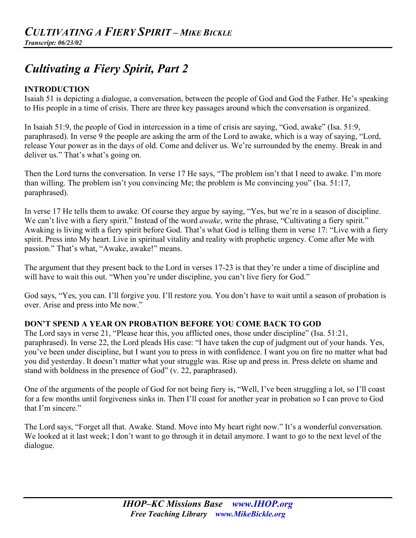# *Cultivating a Fiery Spirit, Part 2*

#### **INTRODUCTION**

Isaiah 51 is depicting a dialogue, a conversation, between the people of God and God the Father. He's speaking to His people in a time of crisis. There are three key passages around which the conversation is organized.

In Isaiah 51:9, the people of God in intercession in a time of crisis are saying, "God, awake" (Isa. 51:9, paraphrased). In verse 9 the people are asking the arm of the Lord to awake, which is a way of saying, "Lord, release Your power as in the days of old. Come and deliver us. We're surrounded by the enemy. Break in and deliver us." That's what's going on.

Then the Lord turns the conversation. In verse 17 He says, "The problem isn't that I need to awake. I'm more than willing. The problem isn't you convincing Me; the problem is Me convincing you" (Isa. 51:17, paraphrased).

In verse 17 He tells them to awake. Of course they argue by saying, "Yes, but we're in a season of discipline. We can't live with a fiery spirit." Instead of the word *awake*, write the phrase, "Cultivating a fiery spirit." Awaking is living with a fiery spirit before God. That's what God is telling them in verse 17: "Live with a fiery spirit. Press into My heart. Live in spiritual vitality and reality with prophetic urgency. Come after Me with passion." That's what, "Awake, awake!" means.

The argument that they present back to the Lord in verses 17-23 is that they're under a time of discipline and will have to wait this out. "When you're under discipline, you can't live fiery for God."

God says, "Yes, you can. I'll forgive you. I'll restore you. You don't have to wait until a season of probation is over. Arise and press into Me now."

# **DON'T SPEND A YEAR ON PROBATION BEFORE YOU COME BACK TO GOD**

The Lord says in verse 21, "Please hear this, you afflicted ones, those under discipline" (Isa. 51:21, paraphrased). In verse 22, the Lord pleads His case: "I have taken the cup of judgment out of your hands. Yes, you've been under discipline, but I want you to press in with confidence. I want you on fire no matter what bad you did yesterday. It doesn't matter what your struggle was. Rise up and press in. Press delete on shame and stand with boldness in the presence of God" (v. 22, paraphrased).

One of the arguments of the people of God for not being fiery is, "Well, I've been struggling a lot, so I'll coast for a few months until forgiveness sinks in. Then I'll coast for another year in probation so I can prove to God that I'm sincere."

The Lord says, "Forget all that. Awake. Stand. Move into My heart right now." It's a wonderful conversation. We looked at it last week; I don't want to go through it in detail anymore. I want to go to the next level of the dialogue.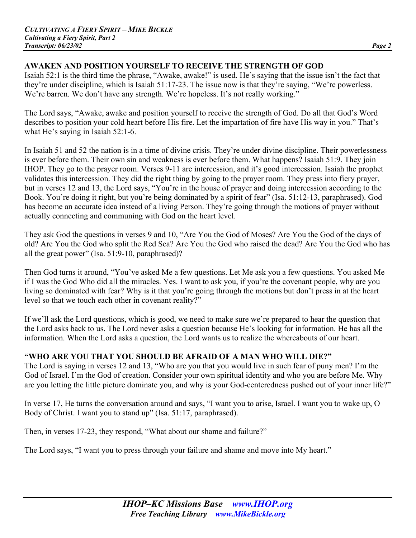# **AWAKEN AND POSITION YOURSELF TO RECEIVE THE STRENGTH OF GOD**

Isaiah 52:1 is the third time the phrase, "Awake, awake!" is used. He's saying that the issue isn't the fact that they're under discipline, which is Isaiah 51:17-23. The issue now is that they're saying, "We're powerless. We're barren. We don't have any strength. We're hopeless. It's not really working."

The Lord says, "Awake, awake and position yourself to receive the strength of God. Do all that God's Word describes to position your cold heart before His fire. Let the impartation of fire have His way in you." That's what He's saying in Isaiah 52:1-6.

In Isaiah 51 and 52 the nation is in a time of divine crisis. They're under divine discipline. Their powerlessness is ever before them. Their own sin and weakness is ever before them. What happens? Isaiah 51:9. They join IHOP. They go to the prayer room. Verses 9-11 are intercession, and it's good intercession. Isaiah the prophet validates this intercession. They did the right thing by going to the prayer room. They press into fiery prayer, but in verses 12 and 13, the Lord says, "You're in the house of prayer and doing intercession according to the Book. You're doing it right, but you're being dominated by a spirit of fear" (Isa. 51:12-13, paraphrased). God has become an accurate idea instead of a living Person. They're going through the motions of prayer without actually connecting and communing with God on the heart level.

They ask God the questions in verses 9 and 10, "Are You the God of Moses? Are You the God of the days of old? Are You the God who split the Red Sea? Are You the God who raised the dead? Are You the God who has all the great power" (Isa. 51:9-10, paraphrased)?

Then God turns it around, "You've asked Me a few questions. Let Me ask you a few questions. You asked Me if I was the God Who did all the miracles. Yes. I want to ask you, if you're the covenant people, why are you living so dominated with fear? Why is it that you're going through the motions but don't press in at the heart level so that we touch each other in covenant reality?"

If we'll ask the Lord questions, which is good, we need to make sure we're prepared to hear the question that the Lord asks back to us. The Lord never asks a question because He's looking for information. He has all the information. When the Lord asks a question, the Lord wants us to realize the whereabouts of our heart.

# **"WHO ARE YOU THAT YOU SHOULD BE AFRAID OF A MAN WHO WILL DIE?"**

The Lord is saying in verses 12 and 13, "Who are you that you would live in such fear of puny men? I'm the God of Israel. I'm the God of creation. Consider your own spiritual identity and who you are before Me. Why are you letting the little picture dominate you, and why is your God-centeredness pushed out of your inner life?"

In verse 17, He turns the conversation around and says, "I want you to arise, Israel. I want you to wake up, O Body of Christ. I want you to stand up" (Isa. 51:17, paraphrased).

Then, in verses 17-23, they respond, "What about our shame and failure?"

The Lord says, "I want you to press through your failure and shame and move into My heart."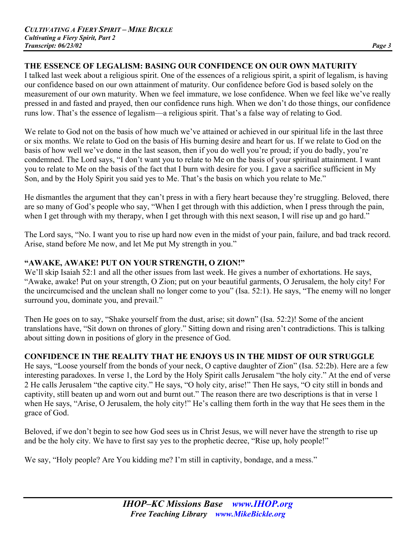# **THE ESSENCE OF LEGALISM: BASING OUR CONFIDENCE ON OUR OWN MATURITY**

I talked last week about a religious spirit. One of the essences of a religious spirit, a spirit of legalism, is having our confidence based on our own attainment of maturity. Our confidence before God is based solely on the measurement of our own maturity. When we feel immature, we lose confidence. When we feel like we've really pressed in and fasted and prayed, then our confidence runs high. When we don't do those things, our confidence runs low. That's the essence of legalism—a religious spirit. That's a false way of relating to God.

We relate to God not on the basis of how much we've attained or achieved in our spiritual life in the last three or six months. We relate to God on the basis of His burning desire and heart for us. If we relate to God on the basis of how well we've done in the last season, then if you do well you're proud; if you do badly, you're condemned. The Lord says, "I don't want you to relate to Me on the basis of your spiritual attainment. I want you to relate to Me on the basis of the fact that I burn with desire for you. I gave a sacrifice sufficient in My Son, and by the Holy Spirit you said yes to Me. That's the basis on which you relate to Me."

He dismantles the argument that they can't press in with a fiery heart because they're struggling. Beloved, there are so many of God's people who say, "When I get through with this addiction, when I press through the pain, when I get through with my therapy, when I get through with this next season, I will rise up and go hard."

The Lord says, "No. I want you to rise up hard now even in the midst of your pain, failure, and bad track record. Arise, stand before Me now, and let Me put My strength in you."

# **"AWAKE, AWAKE! PUT ON YOUR STRENGTH, O ZION!"**

We'll skip Isaiah 52:1 and all the other issues from last week. He gives a number of exhortations. He says, "Awake, awake! Put on your strength, O Zion; put on your beautiful garments, O Jerusalem, the holy city! For the uncircumcised and the unclean shall no longer come to you" (Isa. 52:1). He says, "The enemy will no longer surround you, dominate you, and prevail."

Then He goes on to say, "Shake yourself from the dust, arise; sit down" (Isa. 52:2)! Some of the ancient translations have, "Sit down on thrones of glory." Sitting down and rising aren't contradictions. This is talking about sitting down in positions of glory in the presence of God.

# **CONFIDENCE IN THE REALITY THAT HE ENJOYS US IN THE MIDST OF OUR STRUGGLE**

He says, "Loose yourself from the bonds of your neck, O captive daughter of Zion" (Isa. 52:2b). Here are a few interesting paradoxes. In verse 1, the Lord by the Holy Spirit calls Jerusalem "the holy city." At the end of verse 2 He calls Jerusalem "the captive city." He says, "O holy city, arise!" Then He says, "O city still in bonds and captivity, still beaten up and worn out and burnt out." The reason there are two descriptions is that in verse 1 when He says, "Arise, O Jerusalem, the holy city!" He's calling them forth in the way that He sees them in the grace of God.

Beloved, if we don't begin to see how God sees us in Christ Jesus, we will never have the strength to rise up and be the holy city. We have to first say yes to the prophetic decree, "Rise up, holy people!"

We say, "Holy people? Are You kidding me? I'm still in captivity, bondage, and a mess."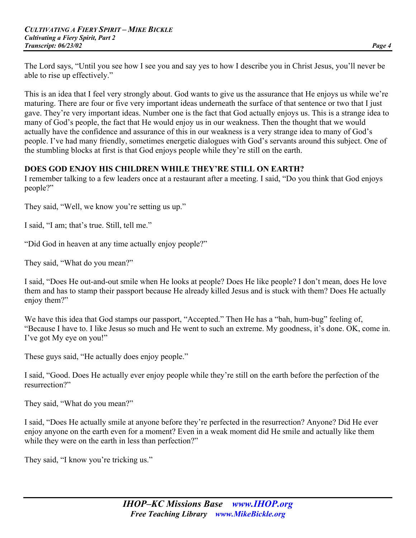The Lord says, "Until you see how I see you and say yes to how I describe you in Christ Jesus, you'll never be able to rise up effectively."

This is an idea that I feel very strongly about. God wants to give us the assurance that He enjoys us while we're maturing. There are four or five very important ideas underneath the surface of that sentence or two that I just gave. They're very important ideas. Number one is the fact that God actually enjoys us. This is a strange idea to many of God's people, the fact that He would enjoy us in our weakness. Then the thought that we would actually have the confidence and assurance of this in our weakness is a very strange idea to many of God's people. I've had many friendly, sometimes energetic dialogues with God's servants around this subject. One of the stumbling blocks at first is that God enjoys people while they're still on the earth.

#### **DOES GOD ENJOY HIS CHILDREN WHILE THEY'RE STILL ON EARTH?**

I remember talking to a few leaders once at a restaurant after a meeting. I said, "Do you think that God enjoys people?"

They said, "Well, we know you're setting us up."

I said, "I am; that's true. Still, tell me."

"Did God in heaven at any time actually enjoy people?"

They said, "What do you mean?"

I said, "Does He out-and-out smile when He looks at people? Does He like people? I don't mean, does He love them and has to stamp their passport because He already killed Jesus and is stuck with them? Does He actually enjoy them?"

We have this idea that God stamps our passport, "Accepted." Then He has a "bah, hum-bug" feeling of, "Because I have to. I like Jesus so much and He went to such an extreme. My goodness, it's done. OK, come in. I've got My eye on you!"

These guys said, "He actually does enjoy people."

I said, "Good. Does He actually ever enjoy people while they're still on the earth before the perfection of the resurrection?"

They said, "What do you mean?"

I said, "Does He actually smile at anyone before they're perfected in the resurrection? Anyone? Did He ever enjoy anyone on the earth even for a moment? Even in a weak moment did He smile and actually like them while they were on the earth in less than perfection?"

They said, "I know you're tricking us."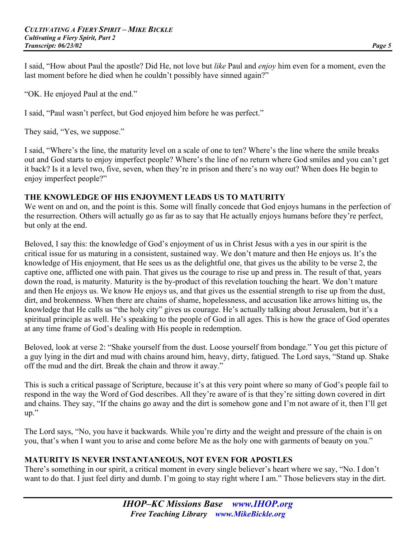I said, "How about Paul the apostle? Did He, not love but *like* Paul and *enjoy* him even for a moment, even the last moment before he died when he couldn't possibly have sinned again?"

"OK. He enjoyed Paul at the end."

I said, "Paul wasn't perfect, but God enjoyed him before he was perfect."

They said, "Yes, we suppose."

I said, "Where's the line, the maturity level on a scale of one to ten? Where's the line where the smile breaks out and God starts to enjoy imperfect people? Where's the line of no return where God smiles and you can't get it back? Is it a level two, five, seven, when they're in prison and there's no way out? When does He begin to enjoy imperfect people?"

#### **THE KNOWLEDGE OF HIS ENJOYMENT LEADS US TO MATURITY**

We went on and on, and the point is this. Some will finally concede that God enjoys humans in the perfection of the resurrection. Others will actually go as far as to say that He actually enjoys humans before they're perfect, but only at the end.

Beloved, I say this: the knowledge of God's enjoyment of us in Christ Jesus with a yes in our spirit is the critical issue for us maturing in a consistent, sustained way. We don't mature and then He enjoys us. It's the knowledge of His enjoyment, that He sees us as the delightful one, that gives us the ability to be verse 2, the captive one, afflicted one with pain. That gives us the courage to rise up and press in. The result of that, years down the road, is maturity. Maturity is the by-product of this revelation touching the heart. We don't mature and then He enjoys us. We know He enjoys us, and that gives us the essential strength to rise up from the dust, dirt, and brokenness. When there are chains of shame, hopelessness, and accusation like arrows hitting us, the knowledge that He calls us "the holy city" gives us courage. He's actually talking about Jerusalem, but it's a spiritual principle as well. He's speaking to the people of God in all ages. This is how the grace of God operates at any time frame of God's dealing with His people in redemption.

Beloved, look at verse 2: "Shake yourself from the dust. Loose yourself from bondage." You get this picture of a guy lying in the dirt and mud with chains around him, heavy, dirty, fatigued. The Lord says, "Stand up. Shake off the mud and the dirt. Break the chain and throw it away."

This is such a critical passage of Scripture, because it's at this very point where so many of God's people fail to respond in the way the Word of God describes. All they're aware of is that they're sitting down covered in dirt and chains. They say, "If the chains go away and the dirt is somehow gone and I'm not aware of it, then I'll get up."

The Lord says, "No, you have it backwards. While you're dirty and the weight and pressure of the chain is on you, that's when I want you to arise and come before Me as the holy one with garments of beauty on you."

# **MATURITY IS NEVER INSTANTANEOUS, NOT EVEN FOR APOSTLES**

There's something in our spirit, a critical moment in every single believer's heart where we say, "No. I don't want to do that. I just feel dirty and dumb. I'm going to stay right where I am." Those believers stay in the dirt.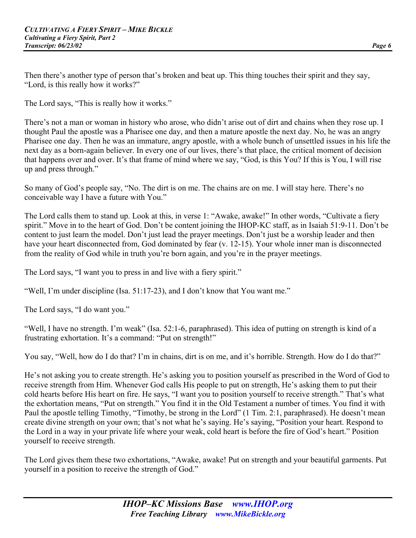Then there's another type of person that's broken and beat up. This thing touches their spirit and they say, "Lord, is this really how it works?"

The Lord says, "This is really how it works."

There's not a man or woman in history who arose, who didn't arise out of dirt and chains when they rose up. I thought Paul the apostle was a Pharisee one day, and then a mature apostle the next day. No, he was an angry Pharisee one day. Then he was an immature, angry apostle, with a whole bunch of unsettled issues in his life the next day as a born-again believer. In every one of our lives, there's that place, the critical moment of decision that happens over and over. It's that frame of mind where we say, "God, is this You? If this is You, I will rise up and press through."

So many of God's people say, "No. The dirt is on me. The chains are on me. I will stay here. There's no conceivable way I have a future with You."

The Lord calls them to stand up. Look at this, in verse 1: "Awake, awake!" In other words, "Cultivate a fiery spirit." Move in to the heart of God. Don't be content joining the IHOP-KC staff, as in Isaiah 51:9-11. Don't be content to just learn the model. Don't just lead the prayer meetings. Don't just be a worship leader and then have your heart disconnected from, God dominated by fear (v. 12-15). Your whole inner man is disconnected from the reality of God while in truth you're born again, and you're in the prayer meetings.

The Lord says, "I want you to press in and live with a fiery spirit."

"Well, I'm under discipline (Isa. 51:17-23), and I don't know that You want me."

The Lord says, "I do want you."

"Well, I have no strength. I'm weak" (Isa. 52:1-6, paraphrased). This idea of putting on strength is kind of a frustrating exhortation. It's a command: "Put on strength!"

You say, "Well, how do I do that? I'm in chains, dirt is on me, and it's horrible. Strength. How do I do that?"

He's not asking you to create strength. He's asking you to position yourself as prescribed in the Word of God to receive strength from Him. Whenever God calls His people to put on strength, He's asking them to put their cold hearts before His heart on fire. He says, "I want you to position yourself to receive strength." That's what the exhortation means, "Put on strength." You find it in the Old Testament a number of times. You find it with Paul the apostle telling Timothy, "Timothy, be strong in the Lord" (1 Tim. 2:1, paraphrased). He doesn't mean create divine strength on your own; that's not what he's saying. He's saying, "Position your heart. Respond to the Lord in a way in your private life where your weak, cold heart is before the fire of God's heart." Position yourself to receive strength.

The Lord gives them these two exhortations, "Awake, awake! Put on strength and your beautiful garments. Put yourself in a position to receive the strength of God."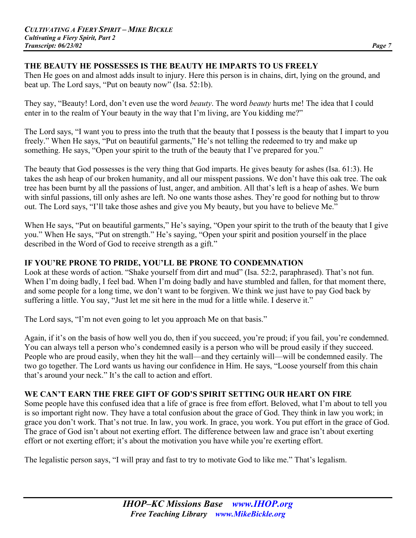#### **THE BEAUTY HE POSSESSES IS THE BEAUTY HE IMPARTS TO US FREELY**

Then He goes on and almost adds insult to injury. Here this person is in chains, dirt, lying on the ground, and beat up. The Lord says, "Put on beauty now" (Isa. 52:1b).

They say, "Beauty! Lord, don't even use the word *beauty*. The word *beauty* hurts me! The idea that I could enter in to the realm of Your beauty in the way that I'm living, are You kidding me?"

The Lord says, "I want you to press into the truth that the beauty that I possess is the beauty that I impart to you freely." When He says, "Put on beautiful garments," He's not telling the redeemed to try and make up something. He says, "Open your spirit to the truth of the beauty that I've prepared for you."

The beauty that God possesses is the very thing that God imparts. He gives beauty for ashes (Isa. 61:3). He takes the ash heap of our broken humanity, and all our misspent passions. We don't have this oak tree. The oak tree has been burnt by all the passions of lust, anger, and ambition. All that's left is a heap of ashes. We burn with sinful passions, till only ashes are left. No one wants those ashes. They're good for nothing but to throw out. The Lord says, "I'll take those ashes and give you My beauty, but you have to believe Me."

When He says, "Put on beautiful garments," He's saying, "Open your spirit to the truth of the beauty that I give you." When He says, "Put on strength." He's saying, "Open your spirit and position yourself in the place described in the Word of God to receive strength as a gift."

# **IF YOU'RE PRONE TO PRIDE, YOU'LL BE PRONE TO CONDEMNATION**

Look at these words of action. "Shake yourself from dirt and mud" (Isa. 52:2, paraphrased). That's not fun. When I'm doing badly, I feel bad. When I'm doing badly and have stumbled and fallen, for that moment there, and some people for a long time, we don't want to be forgiven. We think we just have to pay God back by suffering a little. You say, "Just let me sit here in the mud for a little while. I deserve it."

The Lord says, "I'm not even going to let you approach Me on that basis."

Again, if it's on the basis of how well you do, then if you succeed, you're proud; if you fail, you're condemned. You can always tell a person who's condemned easily is a person who will be proud easily if they succeed. People who are proud easily, when they hit the wall—and they certainly will—will be condemned easily. The two go together. The Lord wants us having our confidence in Him. He says, "Loose yourself from this chain that's around your neck." It's the call to action and effort.

# **WE CAN'T EARN THE FREE GIFT OF GOD'S SPIRIT SETTING OUR HEART ON FIRE**

Some people have this confused idea that a life of grace is free from effort. Beloved, what I'm about to tell you is so important right now. They have a total confusion about the grace of God. They think in law you work; in grace you don't work. That's not true. In law, you work. In grace, you work. You put effort in the grace of God. The grace of God isn't about not exerting effort. The difference between law and grace isn't about exerting effort or not exerting effort; it's about the motivation you have while you're exerting effort.

The legalistic person says, "I will pray and fast to try to motivate God to like me." That's legalism.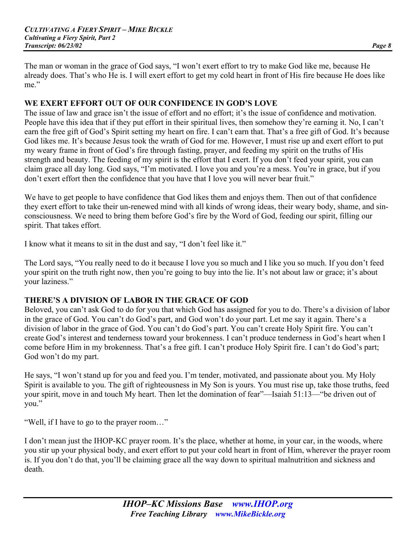The man or woman in the grace of God says, "I won't exert effort to try to make God like me, because He already does. That's who He is. I will exert effort to get my cold heart in front of His fire because He does like me."

#### **WE EXERT EFFORT OUT OF OUR CONFIDENCE IN GOD'S LOVE**

The issue of law and grace isn't the issue of effort and no effort; it's the issue of confidence and motivation. People have this idea that if they put effort in their spiritual lives, then somehow they're earning it. No, I can't earn the free gift of God's Spirit setting my heart on fire. I can't earn that. That's a free gift of God. It's because God likes me. It's because Jesus took the wrath of God for me. However, I must rise up and exert effort to put my weary frame in front of God's fire through fasting, prayer, and feeding my spirit on the truths of His strength and beauty. The feeding of my spirit is the effort that I exert. If you don't feed your spirit, you can claim grace all day long. God says, "I'm motivated. I love you and you're a mess. You're in grace, but if you don't exert effort then the confidence that you have that I love you will never bear fruit."

We have to get people to have confidence that God likes them and enjoys them. Then out of that confidence they exert effort to take their un-renewed mind with all kinds of wrong ideas, their weary body, shame, and sinconsciousness. We need to bring them before God's fire by the Word of God, feeding our spirit, filling our spirit. That takes effort.

I know what it means to sit in the dust and say, "I don't feel like it."

The Lord says, "You really need to do it because I love you so much and I like you so much. If you don't feed your spirit on the truth right now, then you're going to buy into the lie. It's not about law or grace; it's about your laziness."

#### **THERE'S A DIVISION OF LABOR IN THE GRACE OF GOD**

Beloved, you can't ask God to do for you that which God has assigned for you to do. There's a division of labor in the grace of God. You can't do God's part, and God won't do your part. Let me say it again. There's a division of labor in the grace of God. You can't do God's part. You can't create Holy Spirit fire. You can't create God's interest and tenderness toward your brokenness. I can't produce tenderness in God's heart when I come before Him in my brokenness. That's a free gift. I can't produce Holy Spirit fire. I can't do God's part; God won't do my part.

He says, "I won't stand up for you and feed you. I'm tender, motivated, and passionate about you. My Holy Spirit is available to you. The gift of righteousness in My Son is yours. You must rise up, take those truths, feed your spirit, move in and touch My heart. Then let the domination of fear"—Isaiah 51:13—"be driven out of you."

"Well, if I have to go to the prayer room…"

I don't mean just the IHOP-KC prayer room. It's the place, whether at home, in your car, in the woods, where you stir up your physical body, and exert effort to put your cold heart in front of Him, wherever the prayer room is. If you don't do that, you'll be claiming grace all the way down to spiritual malnutrition and sickness and death.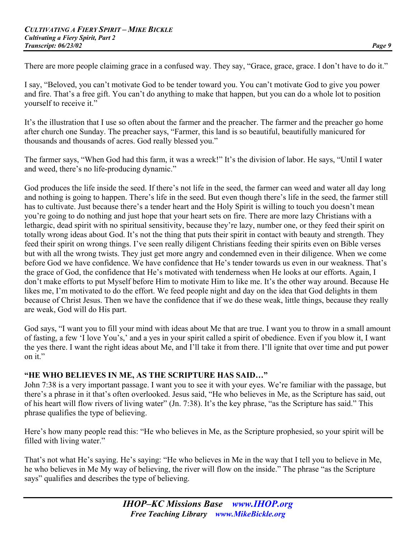There are more people claiming grace in a confused way. They say, "Grace, grace, grace. I don't have to do it."

I say, "Beloved, you can't motivate God to be tender toward you. You can't motivate God to give you power and fire. That's a free gift. You can't do anything to make that happen, but you can do a whole lot to position yourself to receive it."

It's the illustration that I use so often about the farmer and the preacher. The farmer and the preacher go home after church one Sunday. The preacher says, "Farmer, this land is so beautiful, beautifully manicured for thousands and thousands of acres. God really blessed you."

The farmer says, "When God had this farm, it was a wreck!" It's the division of labor. He says, "Until I water and weed, there's no life-producing dynamic."

God produces the life inside the seed. If there's not life in the seed, the farmer can weed and water all day long and nothing is going to happen. There's life in the seed. But even though there's life in the seed, the farmer still has to cultivate. Just because there's a tender heart and the Holy Spirit is willing to touch you doesn't mean you're going to do nothing and just hope that your heart sets on fire. There are more lazy Christians with a lethargic, dead spirit with no spiritual sensitivity, because they're lazy, number one, or they feed their spirit on totally wrong ideas about God. It's not the thing that puts their spirit in contact with beauty and strength. They feed their spirit on wrong things. I've seen really diligent Christians feeding their spirits even on Bible verses but with all the wrong twists. They just get more angry and condemned even in their diligence. When we come before God we have confidence. We have confidence that He's tender towards us even in our weakness. That's the grace of God, the confidence that He's motivated with tenderness when He looks at our efforts. Again, I don't make efforts to put Myself before Him to motivate Him to like me. It's the other way around. Because He likes me, I'm motivated to do the effort. We feed people night and day on the idea that God delights in them because of Christ Jesus. Then we have the confidence that if we do these weak, little things, because they really are weak, God will do His part.

God says, "I want you to fill your mind with ideas about Me that are true. I want you to throw in a small amount of fasting, a few 'I love You's,' and a yes in your spirit called a spirit of obedience. Even if you blow it, I want the yes there. I want the right ideas about Me, and I'll take it from there. I'll ignite that over time and put power on it."

# **"HE WHO BELIEVES IN ME, AS THE SCRIPTURE HAS SAID…"**

John 7:38 is a very important passage. I want you to see it with your eyes. We're familiar with the passage, but there's a phrase in it that's often overlooked. Jesus said, "He who believes in Me, as the Scripture has said, out of his heart will flow rivers of living water" (Jn. 7:38). It's the key phrase, "as the Scripture has said." This phrase qualifies the type of believing.

Here's how many people read this: "He who believes in Me, as the Scripture prophesied, so your spirit will be filled with living water."

That's not what He's saying. He's saying: "He who believes in Me in the way that I tell you to believe in Me, he who believes in Me My way of believing, the river will flow on the inside." The phrase "as the Scripture says" qualifies and describes the type of believing.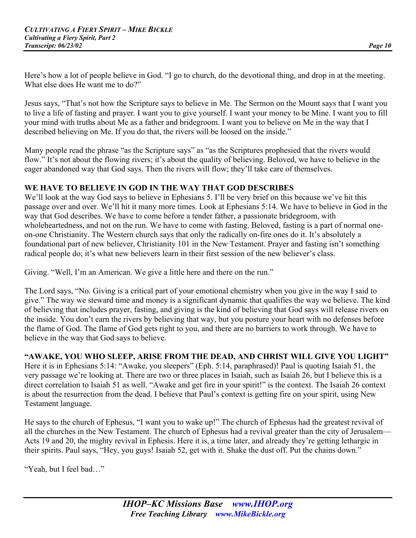Here's how a lot of people believe in God. "I go to church, do the devotional thing, and drop in at the meeting. What else does He want me to do?"

Jesus says, "That's not how the Scripture says to believe in Me. The Sermon on the Mount says that I want you to live a life of fasting and prayer. I want you to give yourself. I want your money to be Mine. I want you to fill your mind with truths about Me as a father and bridegroom. I want you to believe on Me in the way that I described believing on Me. If you do that, the rivers will be loosed on the inside."

Many people read the phrase "as the Scripture says" as "as the Scriptures prophesied that the rivers would flow." It's not about the flowing rivers; it's about the quality of believing. Beloved, we have to believe in the eager abandoned way that God says. Then the rivers will flow; they'll take care of themselves.

# **WE HAVE TO BELIEVE IN GOD IN THE WAY THAT GOD DESCRIBES**

We'll look at the way God says to believe in Ephesians 5. I'll be very brief on this because we've hit this passage over and over. We'll hit it many more times. Look at Ephesians 5:14. We have to believe in God in the way that God describes. We have to come before a tender father, a passionate bridegroom, with wholeheartedness, and not on the run. We have to come with fasting. Beloved, fasting is a part of normal oneon-one Christianity. The Western church says that only the radically on-fire ones do it. It's absolutely a foundational part of new believer, Christianity 101 in the New Testament. Prayer and fasting isn't something radical people do; it's what new believers learn in their first session of the new believer's class.

Giving. "Well, I'm an American. We give a little here and there on the run."

The Lord says, "No. Giving is a critical part of your emotional chemistry when you give in the way I said to give." The way we steward time and money is a significant dynamic that qualifies the way we believe. The kind of believing that includes prayer, fasting, and giving is the kind of believing that God says will release rivers on the inside. You don't earn the rivers by believing that way, but you posture your heart with no defenses before the flame of God. The flame of God gets right to you, and there are no barriers to work through. We have to believe in the way that God says to believe.

# **"AWAKE, YOU WHO SLEEP, ARISE FROM THE DEAD, AND CHRIST WILL GIVE YOU LIGHT"**

Here it is in Ephesians 5:14: "Awake, you sleepers" (Eph. 5:14, paraphrased)! Paul is quoting Isaiah 51, the very passage we're looking at. There are two or three places in Isaiah, such as Isaiah 26, but I believe this is a direct correlation to Isaiah 51 as well. "Awake and get fire in your spirit!" is the context. The Isaiah 26 context is about the resurrection from the dead. I believe that Paul's context is getting fire on your spirit, using New Testament language.

He says to the church of Ephesus, "I want you to wake up!" The church of Ephesus had the greatest revival of all the churches in the New Testament. The church of Ephesus had a revival greater than the city of Jerusalem— Acts 19 and 20, the mighty revival in Ephesis. Here it is, a time later, and already they're getting lethargic in their spirits. Paul says, "Hey, you guys! Isaiah 52, get with it. Shake the dust off. Put the chains down."

"Yeah, but I feel bad…"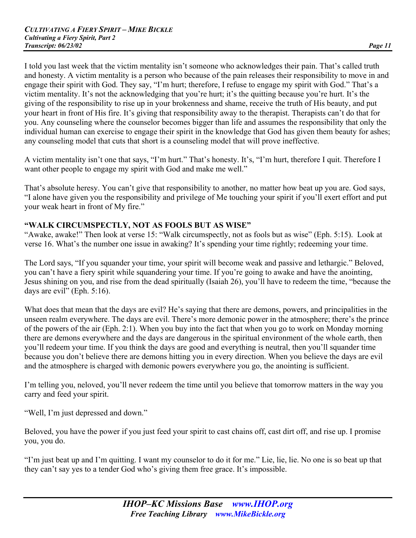I told you last week that the victim mentality isn't someone who acknowledges their pain. That's called truth and honesty. A victim mentality is a person who because of the pain releases their responsibility to move in and engage their spirit with God. They say, "I'm hurt; therefore, I refuse to engage my spirit with God." That's a victim mentality. It's not the acknowledging that you're hurt; it's the quitting because you're hurt. It's the giving of the responsibility to rise up in your brokenness and shame, receive the truth of His beauty, and put your heart in front of His fire. It's giving that responsibility away to the therapist. Therapists can't do that for you. Any counseling where the counselor becomes bigger than life and assumes the responsibility that only the individual human can exercise to engage their spirit in the knowledge that God has given them beauty for ashes; any counseling model that cuts that short is a counseling model that will prove ineffective.

A victim mentality isn't one that says, "I'm hurt." That's honesty. It's, "I'm hurt, therefore I quit. Therefore I want other people to engage my spirit with God and make me well."

That's absolute heresy. You can't give that responsibility to another, no matter how beat up you are. God says, "I alone have given you the responsibility and privilege of Me touching your spirit if you'll exert effort and put your weak heart in front of My fire."

#### **"WALK CIRCUMSPECTLY, NOT AS FOOLS BUT AS WISE"**

"Awake, awake!" Then look at verse 15: "Walk circumspectly, not as fools but as wise" (Eph. 5:15). Look at verse 16. What's the number one issue in awaking? It's spending your time rightly; redeeming your time.

The Lord says, "If you squander your time, your spirit will become weak and passive and lethargic." Beloved, you can't have a fiery spirit while squandering your time. If you're going to awake and have the anointing, Jesus shining on you, and rise from the dead spiritually (Isaiah 26), you'll have to redeem the time, "because the days are evil" (Eph. 5:16).

What does that mean that the days are evil? He's saying that there are demons, powers, and principalities in the unseen realm everywhere. The days are evil. There's more demonic power in the atmosphere; there's the prince of the powers of the air (Eph. 2:1). When you buy into the fact that when you go to work on Monday morning there are demons everywhere and the days are dangerous in the spiritual environment of the whole earth, then you'll redeem your time. If you think the days are good and everything is neutral, then you'll squander time because you don't believe there are demons hitting you in every direction. When you believe the days are evil and the atmosphere is charged with demonic powers everywhere you go, the anointing is sufficient.

I'm telling you, neloved, you'll never redeem the time until you believe that tomorrow matters in the way you carry and feed your spirit.

"Well, I'm just depressed and down."

Beloved, you have the power if you just feed your spirit to cast chains off, cast dirt off, and rise up. I promise you, you do.

"I'm just beat up and I'm quitting. I want my counselor to do it for me." Lie, lie, lie. No one is so beat up that they can't say yes to a tender God who's giving them free grace. It's impossible.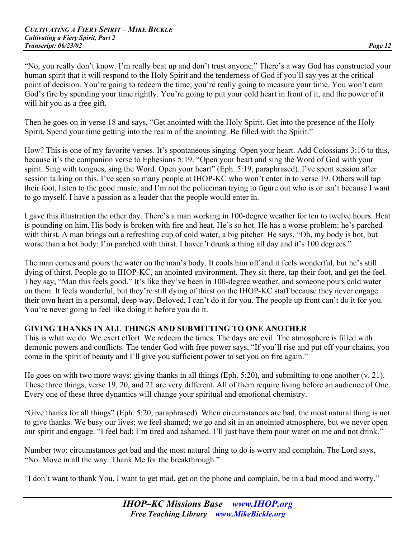"No, you really don't know. I'm really beat up and don't trust anyone." There's a way God has constructed your human spirit that it will respond to the Holy Spirit and the tenderness of God if you'll say yes at the critical point of decision. You're going to redeem the time; you're really going to measure your time. You won't earn God's fire by spending your time rightly. You're going to put your cold heart in front of it, and the power of it will hit you as a free gift.

Then he goes on in verse 18 and says, "Get anointed with the Holy Spirit. Get into the presence of the Holy Spirit. Spend your time getting into the realm of the anointing. Be filled with the Spirit."

How? This is one of my favorite verses. It's spontaneous singing. Open your heart. Add Colossians 3:16 to this, because it's the companion verse to Ephesians 5:19. "Open your heart and sing the Word of God with your spirit. Sing with tongues, sing the Word. Open your heart" (Eph. 5:19, paraphrased). I've spent session after session talking on this. I've seen so many people at IHOP-KC who won't enter in to verse 19. Others will tap their foot, listen to the good music, and I'm not the policeman trying to figure out who is or isn't because I want to go myself. I have a passion as a leader that the people would enter in.

I gave this illustration the other day. There's a man working in 100-degree weather for ten to twelve hours. Heat is pounding on him. His body is broken with fire and heat. He's so hot. He has a worse problem: he's parched with thirst. A man brings out a refreshing cup of cold water, a big pitcher. He says, "Oh, my body is hot, but worse than a hot body: I'm parched with thirst. I haven't drunk a thing all day and it's 100 degrees."

The man comes and pours the water on the man's body. It cools him off and it feels wonderful, but he's still dying of thirst. People go to IHOP-KC, an anointed environment. They sit there, tap their foot, and get the feel. They say, "Man this feels good." It's like they've been in 100-degree weather, and someone pours cold water on them. It feels wonderful, but they're still dying of thirst on the IHOP-KC staff because they never engage their own heart in a personal, deep way. Beloved, I can't do it for you. The people up front can't do it for you. You're never going to feel like doing it before you do it.

# **GIVING THANKS IN ALL THINGS AND SUBMITTING TO ONE ANOTHER**

This is what we do. We exert effort. We redeem the times. The days are evil. The atmosphere is filled with demonic powers and conflicts. The tender God with free power says, "If you'll rise and put off your chains, you come in the spirit of beauty and I'll give you sufficient power to set you on fire again."

He goes on with two more ways: giving thanks in all things (Eph. 5:20), and submitting to one another (v. 21). These three things, verse 19, 20, and 21 are very different. All of them require living before an audience of One. Every one of these three dynamics will change your spiritual and emotional chemistry.

"Give thanks for all things" (Eph. 5:20, paraphrased). When circumstances are bad, the most natural thing is not to give thanks. We busy our lives; we feel shamed; we go and sit in an anointed atmosphere, but we never open our spirit and engage. "I feel bad; I'm tired and ashamed. I'll just have them pour water on me and not drink."

Number two: circumstances get bad and the most natural thing to do is worry and complain. The Lord says, "No. Move in all the way. Thank Me for the breakthrough."

"I don't want to thank You. I want to get mad, get on the phone and complain, be in a bad mood and worry."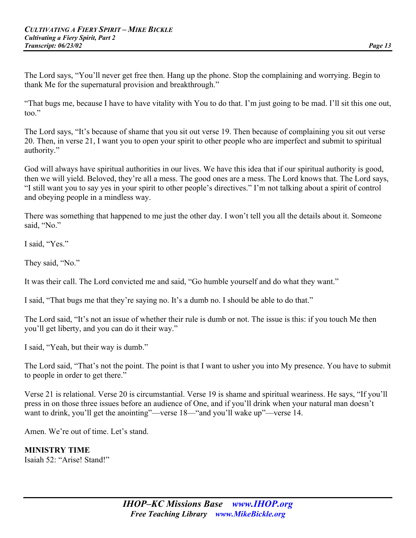The Lord says, "You'll never get free then. Hang up the phone. Stop the complaining and worrying. Begin to thank Me for the supernatural provision and breakthrough."

"That bugs me, because I have to have vitality with You to do that. I'm just going to be mad. I'll sit this one out, too."

The Lord says, "It's because of shame that you sit out verse 19. Then because of complaining you sit out verse 20. Then, in verse 21, I want you to open your spirit to other people who are imperfect and submit to spiritual authority."

God will always have spiritual authorities in our lives. We have this idea that if our spiritual authority is good, then we will yield. Beloved, they're all a mess. The good ones are a mess. The Lord knows that. The Lord says, "I still want you to say yes in your spirit to other people's directives." I'm not talking about a spirit of control and obeying people in a mindless way.

There was something that happened to me just the other day. I won't tell you all the details about it. Someone said, "No."

I said, "Yes."

They said, "No."

It was their call. The Lord convicted me and said, "Go humble yourself and do what they want."

I said, "That bugs me that they're saying no. It's a dumb no. I should be able to do that."

The Lord said, "It's not an issue of whether their rule is dumb or not. The issue is this: if you touch Me then you'll get liberty, and you can do it their way."

I said, "Yeah, but their way is dumb."

The Lord said, "That's not the point. The point is that I want to usher you into My presence. You have to submit to people in order to get there."

Verse 21 is relational. Verse 20 is circumstantial. Verse 19 is shame and spiritual weariness. He says, "If you'll press in on those three issues before an audience of One, and if you'll drink when your natural man doesn't want to drink, you'll get the anointing"—verse 18—"and you'll wake up"—verse 14.

Amen. We're out of time. Let's stand.

**MINISTRY TIME**

Isaiah 52: "Arise! Stand!"